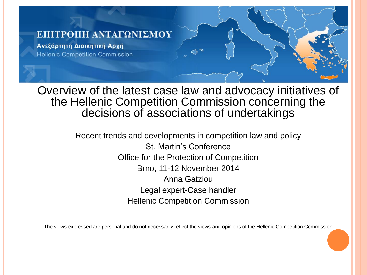#### ΕΠΙΤΡΟΠΗ ΑΝΤΑΓΩΝΙΣΜΟΥ

Ανεξάρτητη Διοικητική Αρχή **Hellenic Competition Commission** 

Overview of the latest case law and advocacy initiatives of the Hellenic Competition Commission concerning the decisions of associations of undertakings

> Recent trends and developments in competition law and policy St. Martin's Conference Office for the Protection of Competition Brno, 11-12 November 2014 Anna Gatziou Legal expert-Case handler Hellenic Competition Commission

The views expressed are personal and do not necessarily reflect the views and opinions of the Hellenic Competition Commission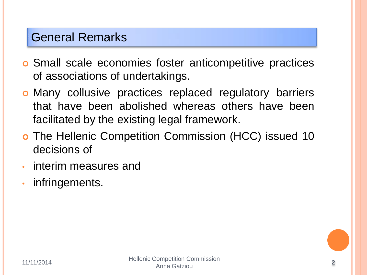### General Remarks

- Small scale economies foster anticompetitive practices of associations of undertakings.
- Many collusive practices replaced regulatory barriers that have been abolished whereas others have been facilitated by the existing legal framework.
- o The Hellenic Competition Commission (HCC) issued 10 decisions of
- interim measures and
- infringements.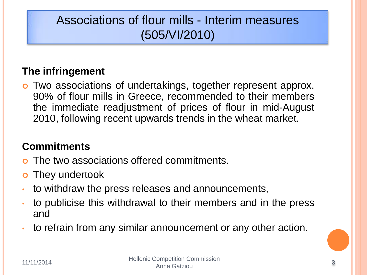# Associations of flour mills - Interim measures (505/VI/2010)

### **The infringement**

 Two associations of undertakings, together represent approx. 90% of flour mills in Greece, recommended to their members the immediate readjustment of prices of flour in mid-August 2010, following recent upwards trends in the wheat market.

### **Commitments**

- The two associations offered commitments.
- **o** They undertook
- to withdraw the press releases and announcements,
- to publicise this withdrawal to their members and in the press and
- to refrain from any similar announcement or any other action.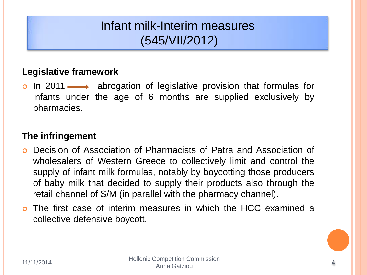## Infant milk-Interim measures (545/VII/2012)

### **Legislative framework**

**o** In 2011  $\longrightarrow$  abrogation of legislative provision that formulas for infants under the age of 6 months are supplied exclusively by pharmacies.

#### **The infringement**

- Decision of Association of Pharmacists of Patra and Association of wholesalers of Western Greece to collectively limit and control the supply of infant milk formulas, notably by boycotting those producers of baby milk that decided to supply their products also through the retail channel of S/M (in parallel with the pharmacy channel).
- The first case of interim measures in which the HCC examined a collective defensive boycott.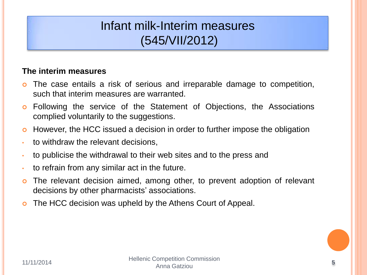## Infant milk-Interim measures (545/VII/2012)

#### **The interim measures**

- The case entails a risk of serious and irreparable damage to competition, such that interim measures are warranted.
- Following the service of the Statement of Objections, the Associations complied voluntarily to the suggestions.
- **•** However, the HCC issued a decision in order to further impose the obligation
- to withdraw the relevant decisions,
- to publicise the withdrawal to their web sites and to the press and
- to refrain from any similar act in the future.
- o The relevant decision aimed, among other, to prevent adoption of relevant decisions by other pharmacists' associations.
- o The HCC decision was upheld by the Athens Court of Appeal.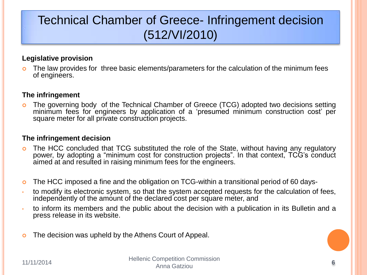# Technical Chamber of Greece- Infringement decision (512/VI/2010)

#### **Legislative provision**

o The law provides for three basic elements/parameters for the calculation of the minimum fees of engineers.

#### **The infringement**

 The governing body of the Technical Chamber of Greece (TCG) adopted two decisions setting minimum fees for engineers by application of a 'presumed minimum construction cost' per square meter for all private construction projects.

#### **The infringement decision**

- The HCC concluded that TCG substituted the role of the State, without having any regulatory power, by adopting a "minimum cost for construction projects". In that context, TCG's conduct aimed at and resulted in raising minimum fees for the engineers.
- The HCC imposed a fine and the obligation on TCG-within a transitional period of 60 days-
- to modify its electronic system, so that the system accepted requests for the calculation of fees, independently of the amount of the declared cost per square meter, and
- to inform its members and the public about the decision with a publication in its Bulletin and a press release in its website.
- **o** The decision was upheld by the Athens Court of Appeal.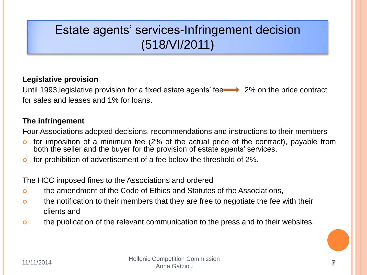## Estate agents' services-Infringement decision (518/VI/2011)

#### **Legislative provision**

Until 1993, legislative provision for a fixed estate agents' fee  $\longrightarrow 2\%$  on the price contract for sales and leases and 1% for loans.

#### **The infringement**

Four Associations adopted decisions, recommendations and instructions to their members

- **o** for imposition of a minimum fee (2% of the actual price of the contract), payable from both the seller and the buyer for the provision of estate agents' services.
- o for prohibition of advertisement of a fee below the threshold of 2%.

The HCC imposed fines to the Associations and ordered

- the amendment of the Code of Ethics and Statutes of the Associations,
- o the notification to their members that they are free to negotiate the fee with their clients and
- o the publication of the relevant communication to the press and to their websites.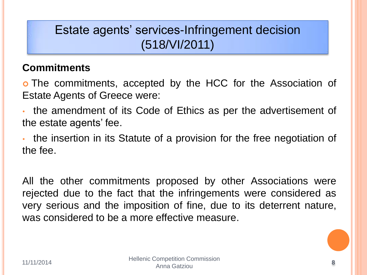## Estate agents' services-Infringement decision (518/VI/2011)

### **Commitments**

 The commitments, accepted by the HCC for the Association of Estate Agents of Greece were:

• the amendment of its Code of Ethics as per the advertisement of the estate agents' fee.

• the insertion in its Statute of a provision for the free negotiation of the fee.

All the other commitments proposed by other Associations were rejected due to the fact that the infringements were considered as very serious and the imposition of fine, due to its deterrent nature, was considered to be a more effective measure.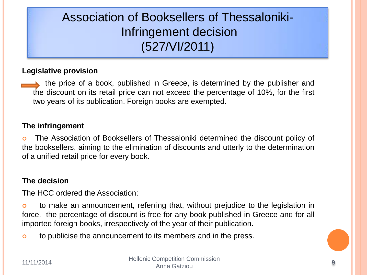# Association of Booksellers of Thessaloniki-Infringement decision (527/VI/2011)

#### **Legislative provision**

 the price of a book, published in Greece, is determined by the publisher and the discount on its retail price can not exceed the percentage of 10%, for the first two years of its publication. Foreign books are exempted.

#### **The infringement**

 The Association of Booksellers of Thessaloniki determined the discount policy of the booksellers, aiming to the elimination of discounts and utterly to the determination of a unified retail price for every book.

#### **The decision**

The HCC ordered the Association:

 to make an announcement, referring that, without prejudice to the legislation in force, the percentage of discount is free for any book published in Greece and for all imported foreign books, irrespectively of the year of their publication.

o to publicise the announcement to its members and in the press.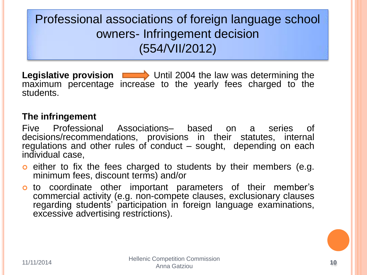Professional associations of foreign language school owners- Infringement decision (554/VII/2012)

**Legislative provision Detail 2004** the law was determining the maximum percentage increase to the yearly fees charged to the students.

### **The infringement**

Five Professional Associations– based on a series of decisions/recommendations, provisions in their statutes, internal regulations and other rules of conduct – sought, depending on each individual case,

- **o** either to fix the fees charged to students by their members (e.g. minimum fees, discount terms) and/or
- o to coordinate other important parameters of their member's commercial activity (e.g. non-compete clauses, exclusionary clauses regarding students' participation in foreign language examinations, excessive advertising restrictions).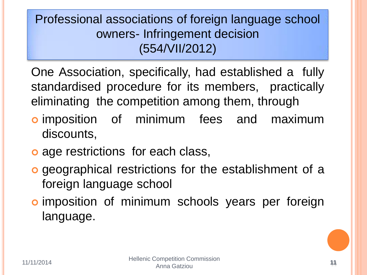Professional associations of foreign language school owners- Infringement decision (554/VII/2012)

One Association, specifically, had established a fully standardised procedure for its members, practically eliminating the competition among them, through

- **o** imposition of minimum fees and maximum discounts,
- o age restrictions for each class,
- geographical restrictions for the establishment of a foreign language school
- o imposition of minimum schools years per foreign language.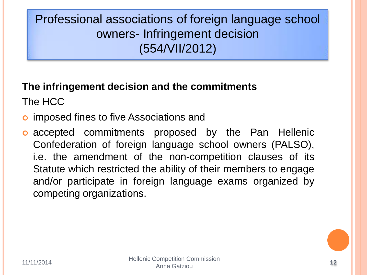Professional associations of foreign language school owners- Infringement decision (554/VII/2012)

# **The infringement decision and the commitments**

The HCC

- **o** imposed fines to five Associations and
- **o** accepted commitments proposed by the Pan Hellenic Confederation of foreign language school owners (PALSO), i.e. the amendment of the non-competition clauses of its Statute which restricted the ability of their members to engage and/or participate in foreign language exams organized by competing organizations.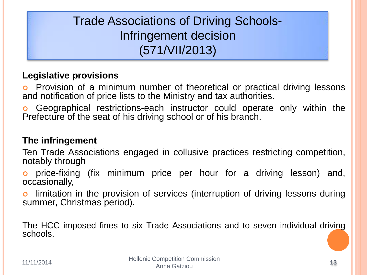# Trade Associations of Driving Schools-Infringement decision (571/VII/2013)

### **Legislative provisions**

 Provision of a minimum number of theoretical or practical driving lessons and notification of price lists to the Ministry and tax authorities.

 Geographical restrictions-each instructor could operate only within the Prefecture of the seat of his driving school or of his branch.

### **The infringement**

Ten Trade Associations engaged in collusive practices restricting competition, notably through

 price-fixing (fix minimum price per hour for a driving lesson) and, occasionally,

 limitation in the provision of services (interruption of driving lessons during summer, Christmas period).

The HCC imposed fines to six Trade Associations and to seven individual driving schools.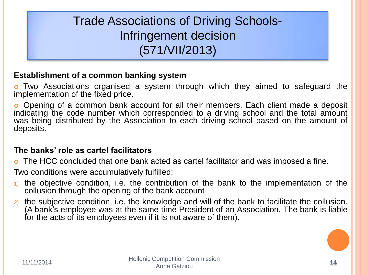# Trade Associations of Driving Schools-Infringement decision (571/VII/2013)

#### **Establishment of a common banking system**

 Two Associations organised a system through which they aimed to safeguard the implementation of the fixed price.

 Opening of a common bank account for all their members. Each client made a deposit indicating the code number which corresponded to a driving school and the total amount was being distributed by the Association to each driving school based on the amount of deposits.

#### **The banks' role as cartel facilitators**

The HCC concluded that one bank acted as cartel facilitator and was imposed a fine.

Two conditions were accumulatively fulfilled:

- 1) the objective condition, i.e. the contribution of the bank to the implementation of the collusion through the opening of the bank account
- 2) the subjective condition, i.e. the knowledge and will of the bank to facilitate the collusion. (A bank's employee was at the same time President of an Association. The bank is liable for the acts of its employees even if it is not aware of them).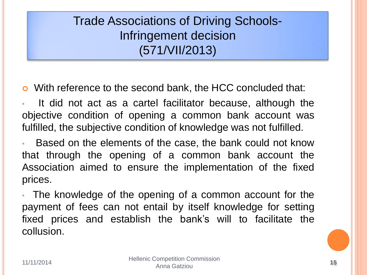Trade Associations of Driving Schools-Infringement decision (571/VII/2013)

With reference to the second bank, the HCC concluded that:

It did not act as a cartel facilitator because, although the objective condition of opening a common bank account was fulfilled, the subjective condition of knowledge was not fulfilled.

Based on the elements of the case, the bank could not know that through the opening of a common bank account the Association aimed to ensure the implementation of the fixed prices.

• The knowledge of the opening of a common account for the payment of fees can not entail by itself knowledge for setting fixed prices and establish the bank's will to facilitate the collusion.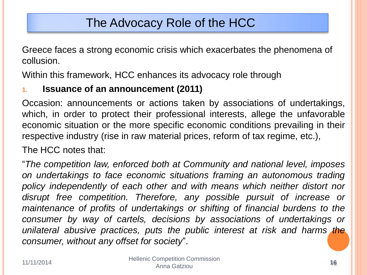### The Advocacy Role of the HCC

Greece faces a strong economic crisis which exacerbates the phenomena of collusion.

Within this framework, HCC enhances its advocacy role through

### **1. Issuance of an announcement (2011)**

Occasion: announcements or actions taken by associations of undertakings, which, in order to protect their professional interests, allege the unfavorable economic situation or the more specific economic conditions prevailing in their respective industry (rise in raw material prices, reform of tax regime, etc.),

The HCC notes that:

"*The competition law, enforced both at Community and national level, imposes on undertakings to face economic situations framing an autonomous trading policy independently of each other and with means which neither distort nor disrupt free competition. Therefore, any possible pursuit of increase or maintenance of profits of undertakings or shifting of financial burdens to the consumer by way of cartels, decisions by associations of undertakings or unilateral abusive practices, puts the public interest at risk and harms the consumer, without any offset for society*".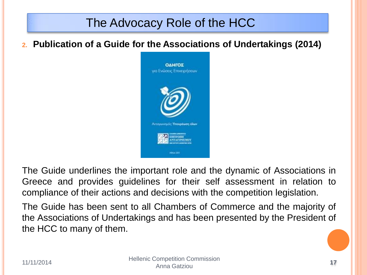## The Advocacy Role of the HCC

**2. Publication of a Guide for the Associations of Undertakings (2014)** 



The Guide underlines the important role and the dynamic of Associations in Greece and provides guidelines for their self assessment in relation to compliance of their actions and decisions with the competition legislation.

The Guide has been sent to all Chambers of Commerce and the majority of the Associations of Undertakings and has been presented by the President of the HCC to many of them.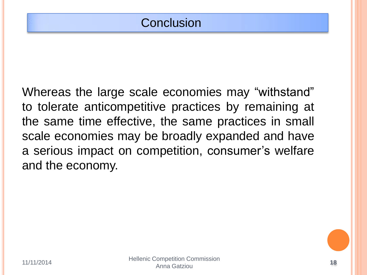Whereas the large scale economies may "withstand" to tolerate anticompetitive practices by remaining at the same time effective, the same practices in small scale economies may be broadly expanded and have a serious impact on competition, consumer's welfare and the economy.